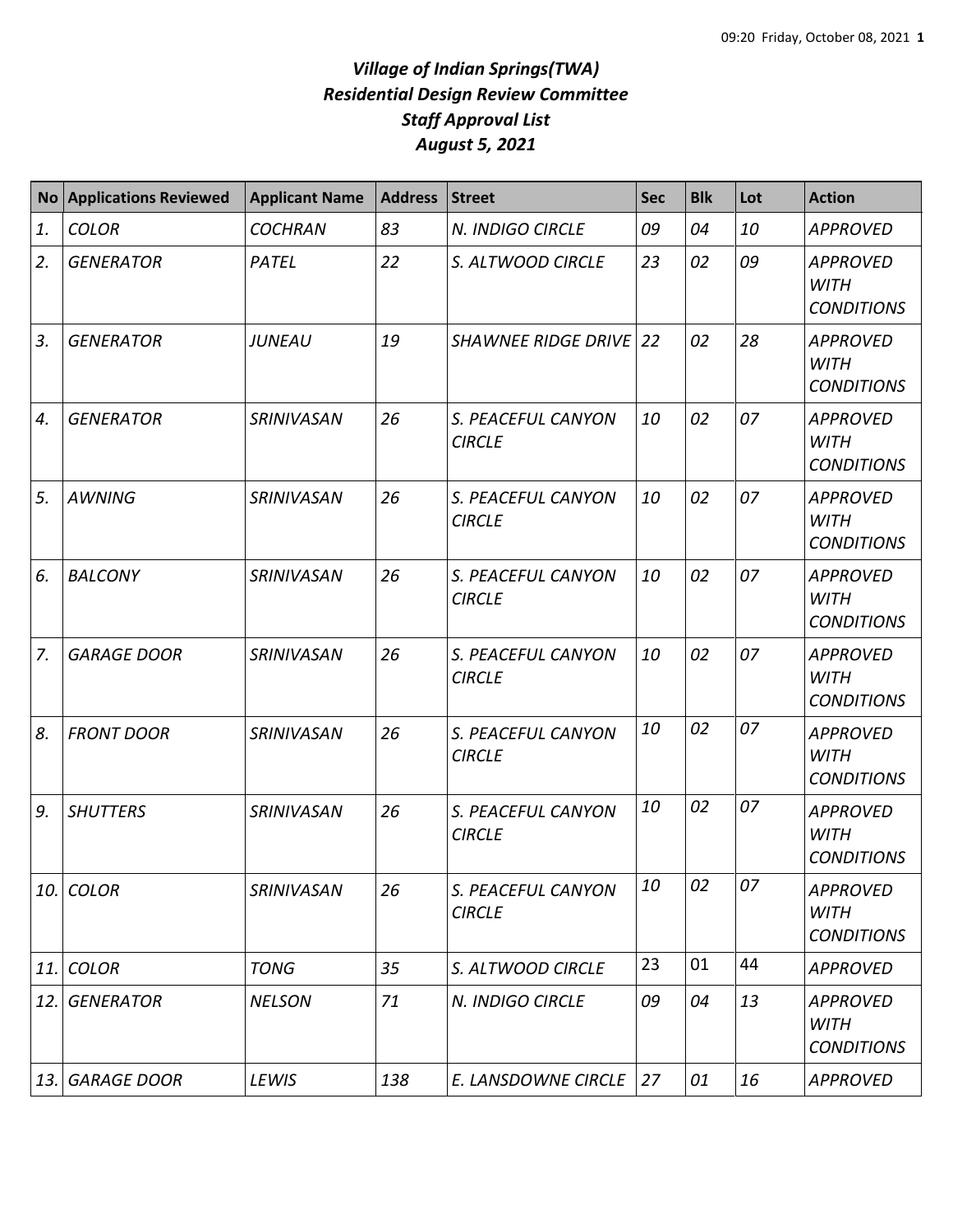## *Village of Indian Springs(TWA) Residential Design Review Committee Staff Approval List August 5, 2021*

| <b>No</b>  | <b>Applications Reviewed</b> | <b>Applicant Name</b> | <b>Address</b> | <b>Street</b>                       | <b>Sec</b> | <b>Blk</b> | Lot | <b>Action</b>                                       |
|------------|------------------------------|-----------------------|----------------|-------------------------------------|------------|------------|-----|-----------------------------------------------------|
| 1.         | <b>COLOR</b>                 | <b>COCHRAN</b>        | 83             | N. INDIGO CIRCLE                    | 09         | 04         | 10  | <b>APPROVED</b>                                     |
| 2.         | <b>GENERATOR</b>             | PATEL                 | 22             | S. ALTWOOD CIRCLE                   | 23         | 02         | 09  | <b>APPROVED</b><br><b>WITH</b><br><b>CONDITIONS</b> |
| 3.         | <b>GENERATOR</b>             | <b>JUNEAU</b>         | 19             | <b>SHAWNEE RIDGE DRIVE 22</b>       |            | 02         | 28  | <b>APPROVED</b><br><b>WITH</b><br><b>CONDITIONS</b> |
| 4.         | <b>GENERATOR</b>             | SRINIVASAN            | 26             | S. PEACEFUL CANYON<br><b>CIRCLE</b> | 10         | 02         | 07  | <b>APPROVED</b><br><b>WITH</b><br><b>CONDITIONS</b> |
| 5.         | <b>AWNING</b>                | <b>SRINIVASAN</b>     | 26             | S. PEACEFUL CANYON<br><b>CIRCLE</b> | 10         | 02         | 07  | <b>APPROVED</b><br><b>WITH</b><br><b>CONDITIONS</b> |
| 6.         | <b>BALCONY</b>               | SRINIVASAN            | 26             | S. PEACEFUL CANYON<br><b>CIRCLE</b> | 10         | 02         | 07  | <b>APPROVED</b><br><b>WITH</b><br><b>CONDITIONS</b> |
| 7.         | <b>GARAGE DOOR</b>           | SRINIVASAN            | 26             | S. PEACEFUL CANYON<br><b>CIRCLE</b> | 10         | 02         | 07  | <b>APPROVED</b><br><b>WITH</b><br><b>CONDITIONS</b> |
| 8.         | <b>FRONT DOOR</b>            | SRINIVASAN            | 26             | S. PEACEFUL CANYON<br><b>CIRCLE</b> | 10         | 02         | 07  | <b>APPROVED</b><br><b>WITH</b><br><b>CONDITIONS</b> |
| 9.         | <b>SHUTTERS</b>              | SRINIVASAN            | 26             | S. PEACEFUL CANYON<br><b>CIRCLE</b> | 10         | 02         | 07  | <b>APPROVED</b><br><b>WITH</b><br><b>CONDITIONS</b> |
| 10.        | <b>COLOR</b>                 | SRINIVASAN            | 26             | S. PEACEFUL CANYON<br><b>CIRCLE</b> | 10         | 02         | 07  | <b>APPROVED</b><br><b>WITH</b><br><b>CONDITIONS</b> |
| 11.        | <b>COLOR</b>                 | <b>TONG</b>           | 35             | S. ALTWOOD CIRCLE                   | 23         | 01         | 44  | <b>APPROVED</b>                                     |
| 12.        | <b>GENERATOR</b>             | <b>NELSON</b>         | 71             | N. INDIGO CIRCLE                    | 09         | 04         | 13  | <b>APPROVED</b><br><b>WITH</b><br><b>CONDITIONS</b> |
| <b>13.</b> | <b>GARAGE DOOR</b>           | LEWIS                 | 138            | E. LANSDOWNE CIRCLE                 | 27         | 01         | 16  | <b>APPROVED</b>                                     |